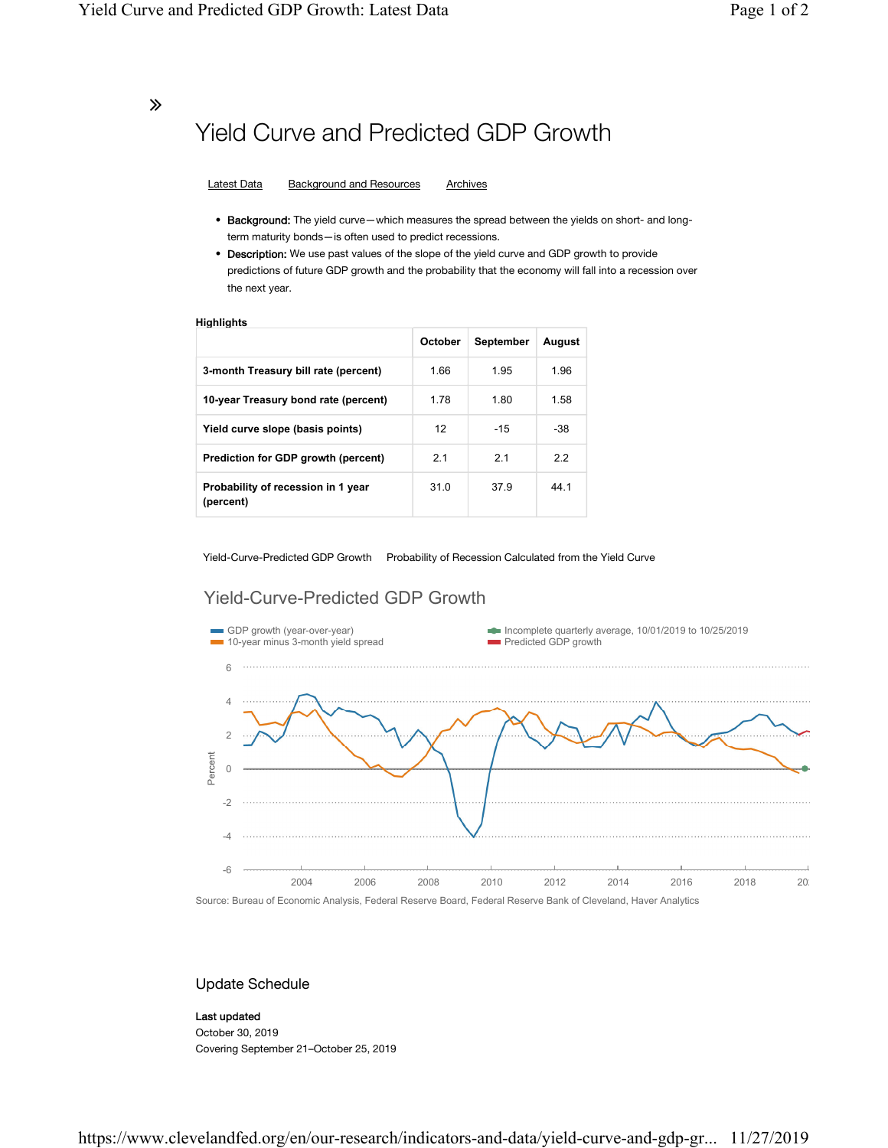∠

## Yield Curve and Predicted GDP Growth

Latest Data Background and Resources Archives

- Background: The yield curve—which measures the spread between the yields on short- and longterm maturity bonds—is often used to predict recessions.
- Description: We use past values of the slope of the yield curve and GDP growth to provide predictions of future GDP growth and the probability that the economy will fall into a recession over the next year.

#### **Highlights**

|                                                 | October | September | August |
|-------------------------------------------------|---------|-----------|--------|
| 3-month Treasury bill rate (percent)            | 1.66    | 1.95      | 1.96   |
| 10-year Treasury bond rate (percent)            | 1.78    | 1.80      | 1.58   |
| Yield curve slope (basis points)                | 12      | $-15$     | -38    |
| Prediction for GDP growth (percent)             | 2.1     | 2.1       | 2.2    |
| Probability of recession in 1 year<br>(percent) | 31.0    | 379       | 44 1   |

Yield-Curve-Predicted GDP Growth Probability of Recession Calculated from the Yield Curve

### Yield-Curve-Predicted GDP Growth



### Update Schedule

#### Last updated

October 30, 2019 Covering September 21–October 25, 2019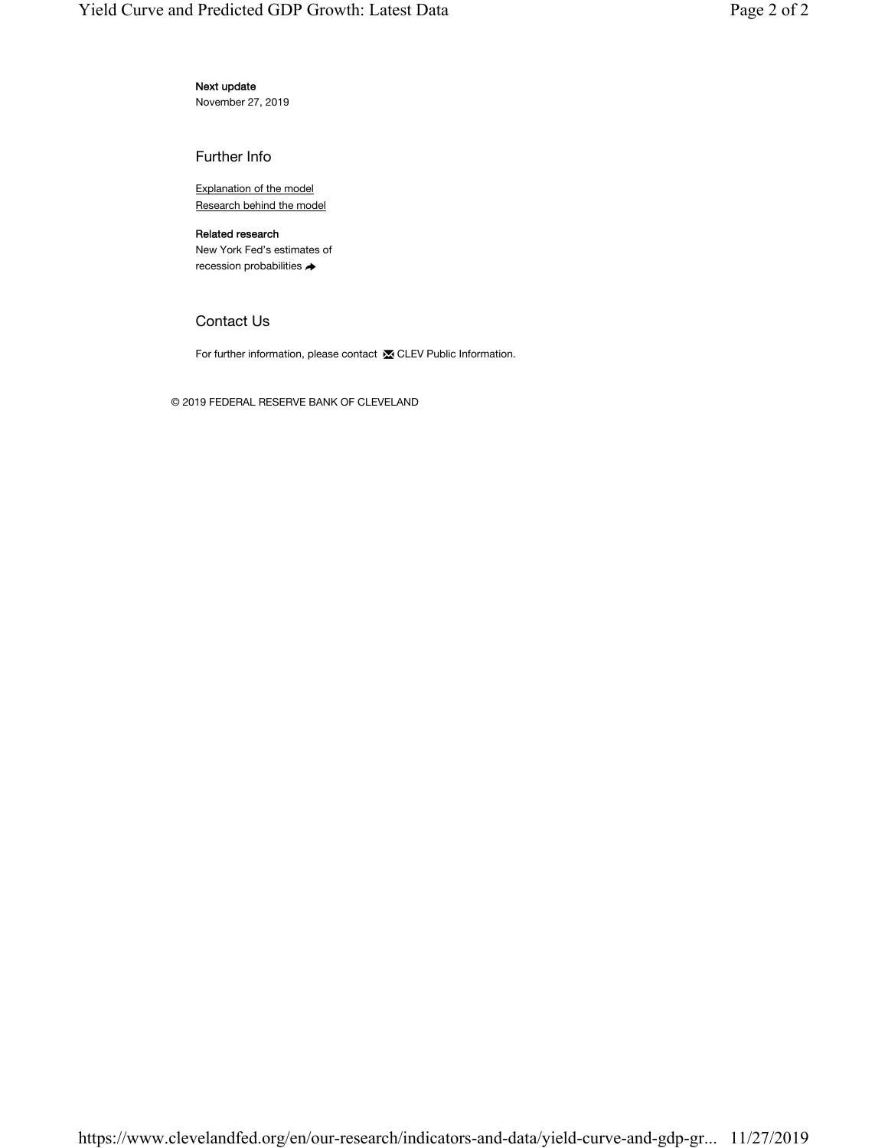### Next update

November 27, 2019

Further Info

Explanation of the model Research behind the model

### Related research

New York Fed's estimates of recession probabilities →

### Contact Us

For further information, please contact **X** CLEV Public Information.

© 2019 FEDERAL RESERVE BANK OF CLEVELAND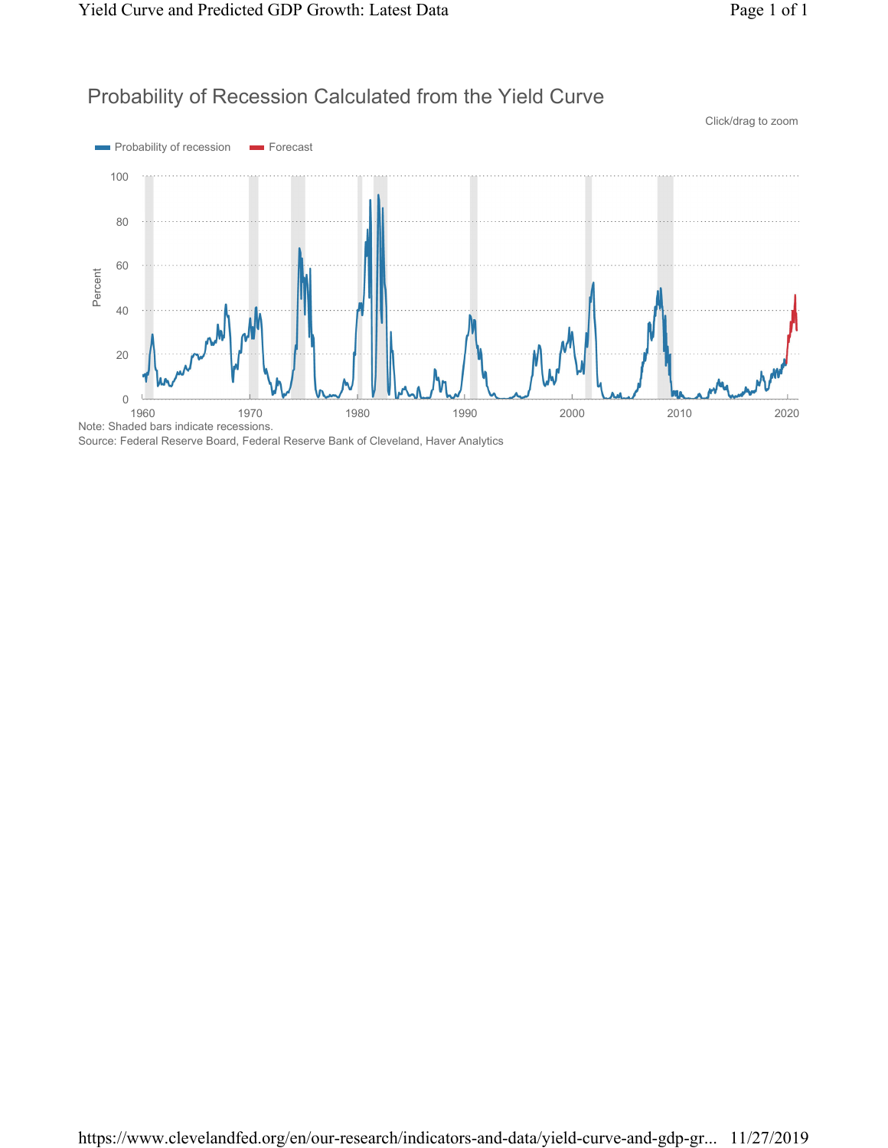



Source: Federal Reserve Board, Federal Reserve Bank of Cleveland, Haver Analytics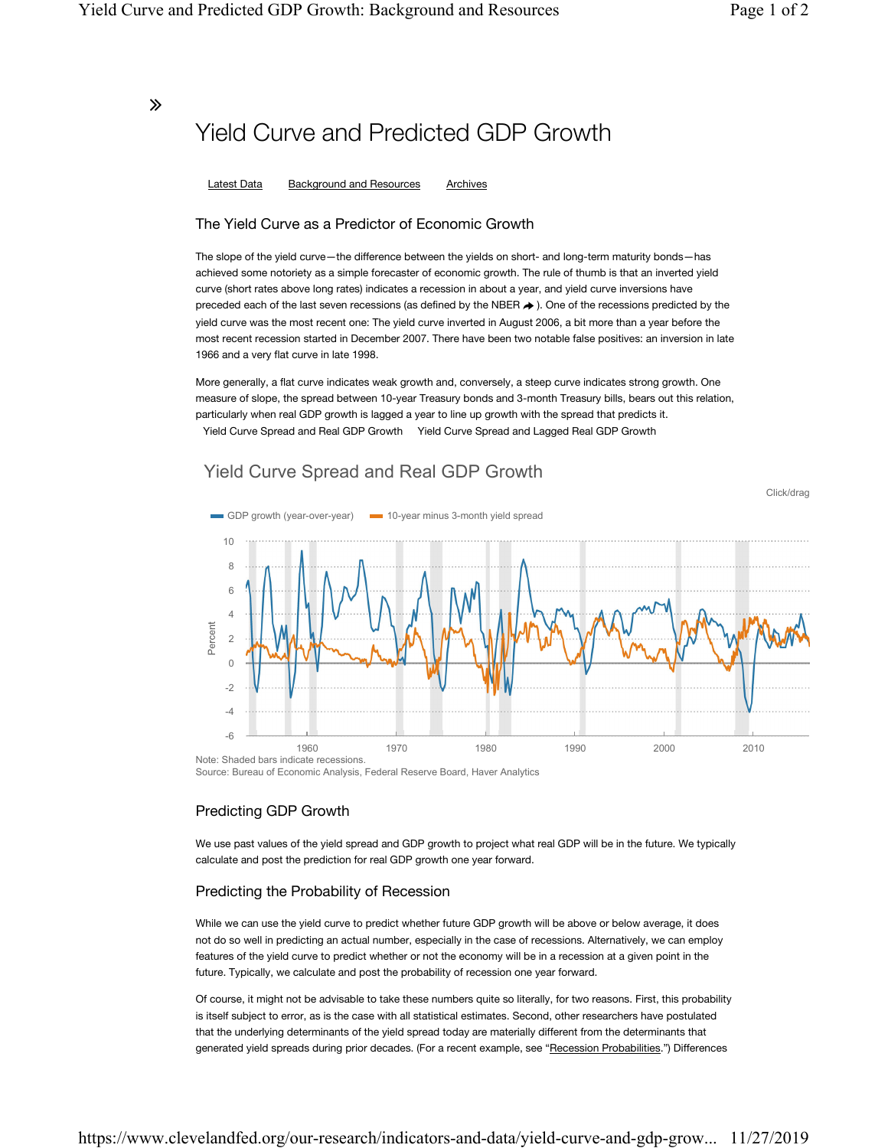Click/drag

### ∠

# Yield Curve and Predicted GDP Growth

Latest Data Background and Resources Archives

### The Yield Curve as a Predictor of Economic Growth

The slope of the yield curve—the difference between the yields on short- and long-term maturity bonds—has achieved some notoriety as a simple forecaster of economic growth. The rule of thumb is that an inverted yield curve (short rates above long rates) indicates a recession in about a year, and yield curve inversions have preceded each of the last seven recessions (as defined by the NBER  $\rightarrow$  ). One of the recessions predicted by the yield curve was the most recent one: The yield curve inverted in August 2006, a bit more than a year before the most recent recession started in December 2007. There have been two notable false positives: an inversion in late 1966 and a very flat curve in late 1998.

More generally, a flat curve indicates weak growth and, conversely, a steep curve indicates strong growth. One measure of slope, the spread between 10-year Treasury bonds and 3-month Treasury bills, bears out this relation, particularly when real GDP growth is lagged a year to line up growth with the spread that predicts it. Yield Curve Spread and Real GDP Growth Yield Curve Spread and Lagged Real GDP Growth

### Yield Curve Spread and Real GDP Growth



Source: Bureau of Economic Analysis, Federal Reserve Board, Haver Analytics

### Predicting GDP Growth

We use past values of the yield spread and GDP growth to project what real GDP will be in the future. We typically calculate and post the prediction for real GDP growth one year forward.

### Predicting the Probability of Recession

While we can use the yield curve to predict whether future GDP growth will be above or below average, it does not do so well in predicting an actual number, especially in the case of recessions. Alternatively, we can employ features of the yield curve to predict whether or not the economy will be in a recession at a given point in the future. Typically, we calculate and post the probability of recession one year forward.

Of course, it might not be advisable to take these numbers quite so literally, for two reasons. First, this probability is itself subject to error, as is the case with all statistical estimates. Second, other researchers have postulated that the underlying determinants of the yield spread today are materially different from the determinants that generated yield spreads during prior decades. (For a recent example, see "Recession Probabilities.") Differences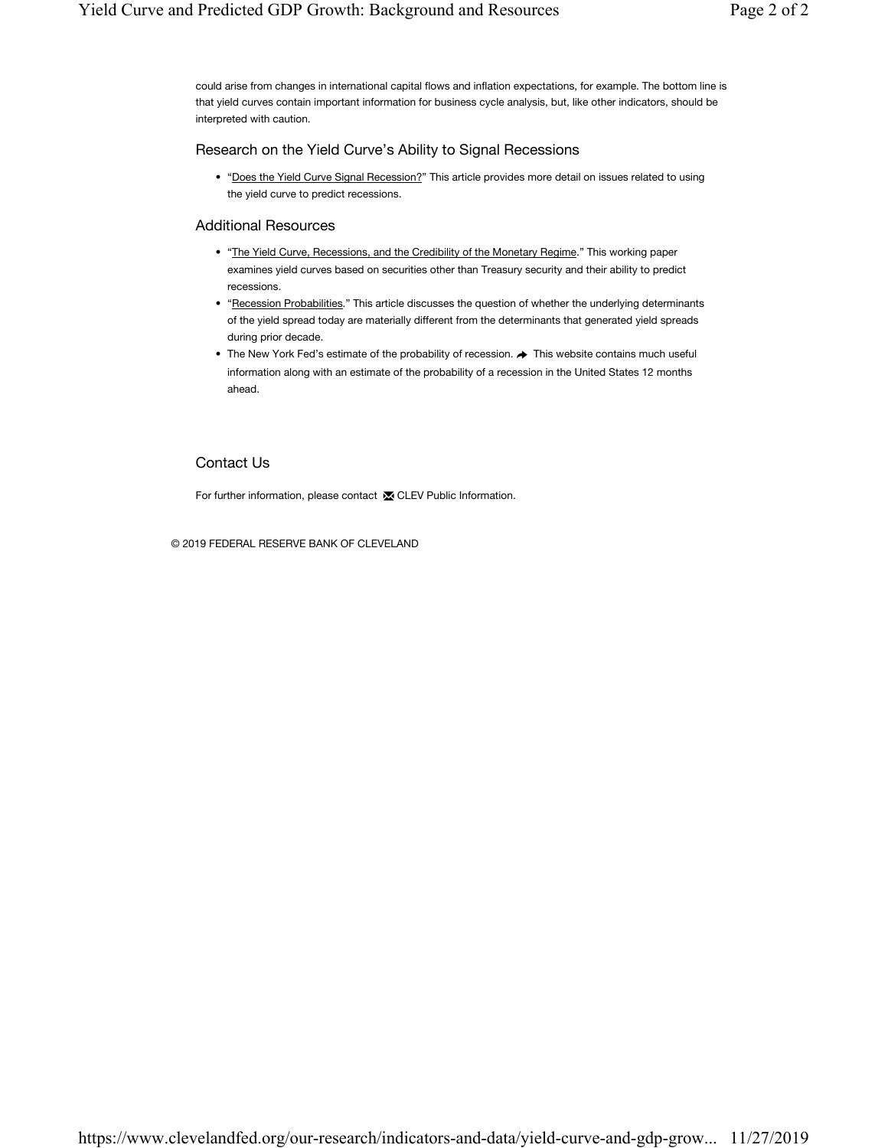could arise from changes in international capital flows and inflation expectations, for example. The bottom line is that yield curves contain important information for business cycle analysis, but, like other indicators, should be interpreted with caution.

### Research on the Yield Curve's Ability to Signal Recessions

• "Does the Yield Curve Signal Recession?" This article provides more detail on issues related to using the yield curve to predict recessions.

### Additional Resources

- "The Yield Curve, Recessions, and the Credibility of the Monetary Regime." This working paper examines yield curves based on securities other than Treasury security and their ability to predict recessions.
- "Recession Probabilities." This article discusses the question of whether the underlying determinants of the yield spread today are materially different from the determinants that generated yield spreads during prior decade.
- The New York Fed's estimate of the probability of recession.  $\blacktriangleright$  This website contains much useful information along with an estimate of the probability of a recession in the United States 12 months ahead.

### Contact Us

For further information, please contact **x** CLEV Public Information.

© 2019 FEDERAL RESERVE BANK OF CLEVELAND